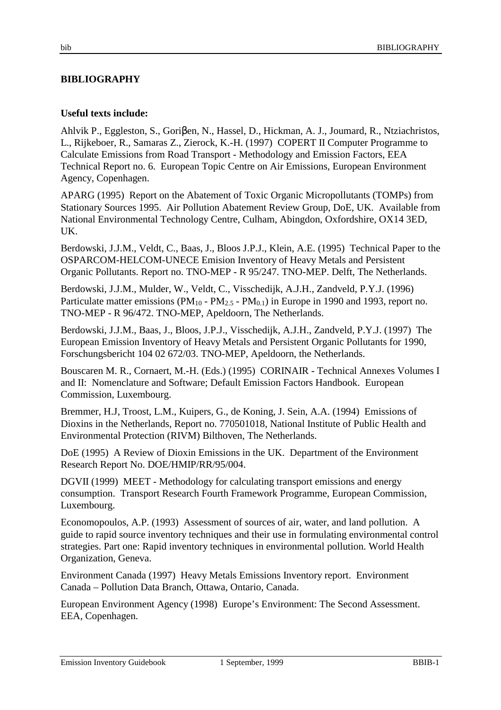## **BIBLIOGRAPHY**

## **Useful texts include:**

Ahlvik P., Eggleston, S., Goriβen, N., Hassel, D., Hickman, A. J., Joumard, R., Ntziachristos, L., Rijkeboer, R., Samaras Z., Zierock, K.-H. (1997) COPERT II Computer Programme to Calculate Emissions from Road Transport - Methodology and Emission Factors, EEA Technical Report no. 6. European Topic Centre on Air Emissions, European Environment Agency, Copenhagen.

APARG (1995) Report on the Abatement of Toxic Organic Micropollutants (TOMPs) from Stationary Sources 1995. Air Pollution Abatement Review Group, DoE, UK. Available from National Environmental Technology Centre, Culham, Abingdon, Oxfordshire, OX14 3ED, UK.

Berdowski, J.J.M., Veldt, C., Baas, J., Bloos J.P.J., Klein, A.E. (1995) Technical Paper to the OSPARCOM-HELCOM-UNECE Emision Inventory of Heavy Metals and Persistent Organic Pollutants. Report no. TNO-MEP - R 95/247. TNO-MEP. Delft, The Netherlands.

Berdowski, J.J.M., Mulder, W., Veldt, C., Visschedijk, A.J.H., Zandveld, P.Y.J. (1996) Particulate matter emissions ( $PM_{10}$  -  $PM_{2.5}$  -  $PM_{0.1}$ ) in Europe in 1990 and 1993, report no. TNO-MEP - R 96/472. TNO-MEP, Apeldoorn, The Netherlands.

Berdowski, J.J.M., Baas, J., Bloos, J.P.J., Visschedijk, A.J.H., Zandveld, P.Y.J. (1997) The European Emission Inventory of Heavy Metals and Persistent Organic Pollutants for 1990, Forschungsbericht 104 02 672/03. TNO-MEP, Apeldoorn, the Netherlands.

Bouscaren M. R., Cornaert, M.-H. (Eds.) (1995) CORINAIR - Technical Annexes Volumes I and II: Nomenclature and Software; Default Emission Factors Handbook. European Commission, Luxembourg.

Bremmer, H.J, Troost, L.M., Kuipers, G., de Koning, J. Sein, A.A. (1994) Emissions of Dioxins in the Netherlands, Report no. 770501018, National Institute of Public Health and Environmental Protection (RIVM) Bilthoven, The Netherlands.

DoE (1995) A Review of Dioxin Emissions in the UK. Department of the Environment Research Report No. DOE/HMIP/RR/95/004.

DGVII (1999) MEET - Methodology for calculating transport emissions and energy consumption. Transport Research Fourth Framework Programme, European Commission, Luxembourg.

Economopoulos, A.P. (1993) Assessment of sources of air, water, and land pollution. A guide to rapid source inventory techniques and their use in formulating environmental control strategies. Part one: Rapid inventory techniques in environmental pollution. World Health Organization, Geneva.

Environment Canada (1997) Heavy Metals Emissions Inventory report. Environment Canada – Pollution Data Branch, Ottawa, Ontario, Canada.

European Environment Agency (1998) Europe's Environment: The Second Assessment. EEA, Copenhagen.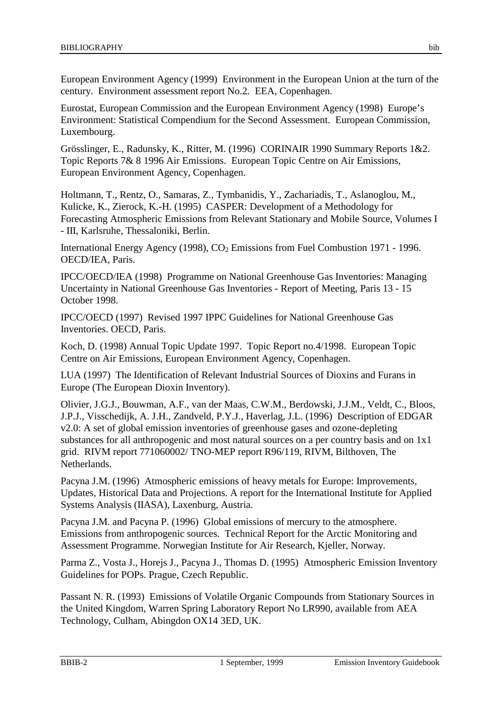European Environment Agency (1999) Environment in the European Union at the turn of the century. Environment assessment report No.2. EEA, Copenhagen.

Eurostat, European Commission and the European Environment Agency (1998) Europe's Environment: Statistical Compendium for the Second Assessment. European Commission, Luxembourg.

Grösslinger, E., Radunsky, K., Ritter, M. (1996) CORINAIR 1990 Summary Reports 1&2. Topic Reports 7& 8 1996 Air Emissions. European Topic Centre on Air Emissions, European Environment Agency, Copenhagen.

Holtmann, T., Rentz, O., Samaras, Z., Tymbanidis, Y., Zachariadis, T., Aslanoglou, M., Kulicke, K., Zierock, K.-H. (1995) CASPER: Development of a Methodology for Forecasting Atmospheric Emissions from Relevant Stationary and Mobile Source, Volumes I - III, Karlsruhe, Thessaloniki, Berlin.

International Energy Agency (1998),  $CO<sub>2</sub>$  Emissions from Fuel Combustion 1971 - 1996. OECD/IEA, Paris.

IPCC/OECD/IEA (1998) Programme on National Greenhouse Gas Inventories: Managing Uncertainty in National Greenhouse Gas Inventories - Report of Meeting, Paris 13 - 15 October 1998.

IPCC/OECD (1997) Revised 1997 IPPC Guidelines for National Greenhouse Gas Inventories. OECD, Paris.

Koch, D. (1998) Annual Topic Update 1997. Topic Report no.4/1998. European Topic Centre on Air Emissions, European Environment Agency, Copenhagen.

LUA (1997) The Identification of Relevant Industrial Sources of Dioxins and Furans in Europe (The European Dioxin Inventory).

Olivier, J.G.J., Bouwman, A.F., van der Maas, C.W.M., Berdowski, J.J.M., Veldt, C., Bloos, J.P.J., Visschedijk, A. J.H., Zandveld, P.Y.J., Haverlag, J.L. (1996) Description of EDGAR v2.0: A set of global emission inventories of greenhouse gases and ozone-depleting substances for all anthropogenic and most natural sources on a per country basis and on 1x1 grid. RIVM report 771060002/ TNO-MEP report R96/119, RIVM, Bilthoven, The Netherlands.

Pacyna J.M. (1996) Atmospheric emissions of heavy metals for Europe: Improvements, Updates, Historical Data and Projections. A report for the International Institute for Applied Systems Analysis (IIASA), Laxenburg, Austria.

Pacyna J.M. and Pacyna P. (1996) Global emissions of mercury to the atmosphere. Emissions from anthropogenic sources. Technical Report for the Arctic Monitoring and Assessment Programme. Norwegian Institute for Air Research, Kjeller, Norway.

Parma Z., Vosta J., Horejs J., Pacyna J., Thomas D. (1995) Atmospheric Emission Inventory Guidelines for POPs. Prague, Czech Republic.

Passant N. R. (1993) Emissions of Volatile Organic Compounds from Stationary Sources in the United Kingdom, Warren Spring Laboratory Report No LR990, available from AEA Technology, Culham, Abingdon OX14 3ED, UK.